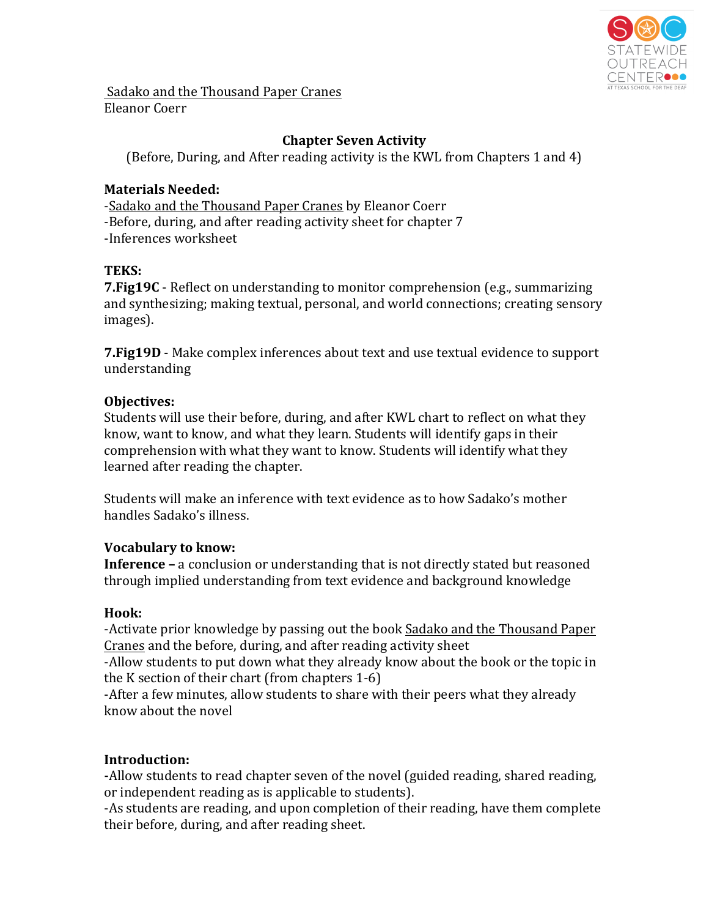

Sadako and the Thousand Paper Cranes Eleanor Coerr

# **Chapter Seven Activity**

(Before, During, and After reading activity is the KWL from Chapters 1 and 4)

# **Materials Needed:**

-Sadako and the Thousand Paper Cranes by Eleanor Coerr -Before, during, and after reading activity sheet for chapter 7 -Inferences worksheet

### **TEKS:**

**7. Fig19C** - Reflect on understanding to monitor comprehension (e.g., summarizing and synthesizing; making textual, personal, and world connections; creating sensory images).

**7. Fig19D** - Make complex inferences about text and use textual evidence to support understanding

### **Objectives:**

Students will use their before, during, and after KWL chart to reflect on what they know, want to know, and what they learn. Students will identify gaps in their comprehension with what they want to know. Students will identify what they learned after reading the chapter.

Students will make an inference with text evidence as to how Sadako's mother handles Sadako's illness.

# **Vocabulary to know:**

**Inference** – a conclusion or understanding that is not directly stated but reasoned through implied understanding from text evidence and background knowledge

# **Hook:**

-Activate prior knowledge by passing out the book Sadako and the Thousand Paper Cranes and the before, during, and after reading activity sheet

-Allow students to put down what they already know about the book or the topic in the K section of their chart  $(from$  chapters  $1-6$ )

-After a few minutes, allow students to share with their peers what they already know about the novel

# **Introduction:**

-Allow students to read chapter seven of the novel (guided reading, shared reading, or independent reading as is applicable to students).

-As students are reading, and upon completion of their reading, have them complete their before, during, and after reading sheet.